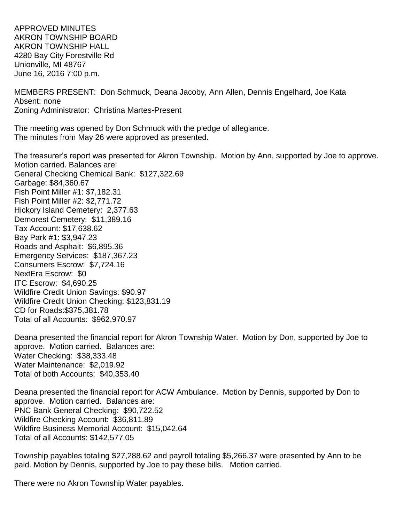APPROVED MINUTES AKRON TOWNSHIP BOARD AKRON TOWNSHIP HALL 4280 Bay City Forestville Rd Unionville, MI 48767 June 16, 2016 7:00 p.m.

MEMBERS PRESENT: Don Schmuck, Deana Jacoby, Ann Allen, Dennis Engelhard, Joe Kata Absent: none Zoning Administrator: Christina Martes-Present

The meeting was opened by Don Schmuck with the pledge of allegiance. The minutes from May 26 were approved as presented.

The treasurer's report was presented for Akron Township. Motion by Ann, supported by Joe to approve. Motion carried. Balances are: General Checking Chemical Bank: \$127,322.69 Garbage: \$84,360.67 Fish Point Miller #1: \$7,182.31 Fish Point Miller #2: \$2,771.72 Hickory Island Cemetery: 2,377.63 Demorest Cemetery: \$11,389.16 Tax Account: \$17,638.62 Bay Park #1: \$3,947.23 Roads and Asphalt: \$6,895.36 Emergency Services: \$187,367.23 Consumers Escrow: \$7,724.16 NextEra Escrow: \$0 ITC Escrow: \$4,690.25 Wildfire Credit Union Savings: \$90.97 Wildfire Credit Union Checking: \$123,831.19 CD for Roads:\$375,381.78 Total of all Accounts: \$962,970.97

Deana presented the financial report for Akron Township Water. Motion by Don, supported by Joe to approve. Motion carried. Balances are: Water Checking: \$38,333.48 Water Maintenance: \$2,019.92 Total of both Accounts: \$40,353.40

Deana presented the financial report for ACW Ambulance. Motion by Dennis, supported by Don to approve. Motion carried. Balances are: PNC Bank General Checking: \$90,722.52 Wildfire Checking Account: \$36,811.89 Wildfire Business Memorial Account: \$15,042.64 Total of all Accounts: \$142,577.05

Township payables totaling \$27,288.62 and payroll totaling \$5,266.37 were presented by Ann to be paid. Motion by Dennis, supported by Joe to pay these bills. Motion carried.

There were no Akron Township Water payables.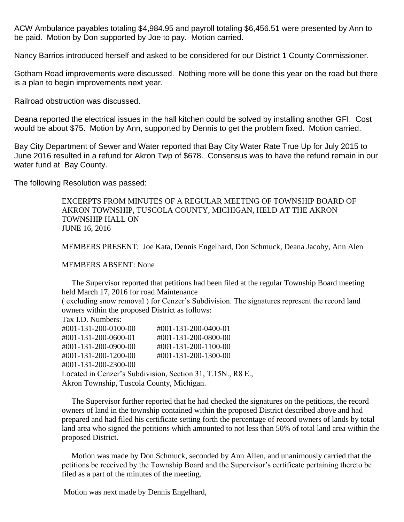ACW Ambulance payables totaling \$4,984.95 and payroll totaling \$6,456.51 were presented by Ann to be paid. Motion by Don supported by Joe to pay. Motion carried.

Nancy Barrios introduced herself and asked to be considered for our District 1 County Commissioner.

Gotham Road improvements were discussed. Nothing more will be done this year on the road but there is a plan to begin improvements next year.

Railroad obstruction was discussed.

Deana reported the electrical issues in the hall kitchen could be solved by installing another GFI. Cost would be about \$75. Motion by Ann, supported by Dennis to get the problem fixed. Motion carried.

Bay City Department of Sewer and Water reported that Bay City Water Rate True Up for July 2015 to June 2016 resulted in a refund for Akron Twp of \$678. Consensus was to have the refund remain in our water fund at Bay County.

The following Resolution was passed:

EXCERPTS FROM MINUTES OF A REGULAR MEETING OF TOWNSHIP BOARD OF AKRON TOWNSHIP, TUSCOLA COUNTY, MICHIGAN, HELD AT THE AKRON TOWNSHIP HALL ON JUNE 16, 2016

MEMBERS PRESENT: Joe Kata, Dennis Engelhard, Don Schmuck, Deana Jacoby, Ann Alen

MEMBERS ABSENT: None

 The Supervisor reported that petitions had been filed at the regular Township Board meeting held March 17, 2016 for road Maintenance

( excluding snow removal ) for Cenzer's Subdivision. The signatures represent the record land owners within the proposed District as follows:

Tax I.D. Numbers:

| #001-131-200-0100-00                                        | #001-131-200-0400-01 |  |
|-------------------------------------------------------------|----------------------|--|
| #001-131-200-0600-01                                        | #001-131-200-0800-00 |  |
| #001-131-200-0900-00                                        | #001-131-200-1100-00 |  |
| #001-131-200-1200-00                                        | #001-131-200-1300-00 |  |
| #001-131-200-2300-00                                        |                      |  |
| Located in Cenzer's Subdivision, Section 31, T.15N., R8 E., |                      |  |
| Akron Township, Tuscola County, Michigan.                   |                      |  |
|                                                             |                      |  |

 The Supervisor further reported that he had checked the signatures on the petitions, the record owners of land in the township contained within the proposed District described above and had prepared and had filed his certificate setting forth the percentage of record owners of lands by total land area who signed the petitions which amounted to not less than 50% of total land area within the proposed District.

 Motion was made by Don Schmuck, seconded by Ann Allen, and unanimously carried that the petitions be received by the Township Board and the Supervisor's certificate pertaining thereto be filed as a part of the minutes of the meeting.

Motion was next made by Dennis Engelhard,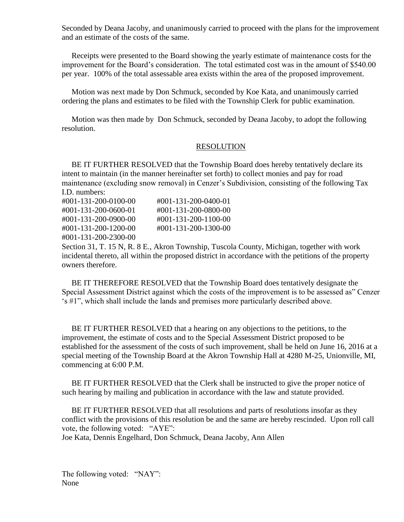Seconded by Deana Jacoby, and unanimously carried to proceed with the plans for the improvement and an estimate of the costs of the same.

 Receipts were presented to the Board showing the yearly estimate of maintenance costs for the improvement for the Board's consideration. The total estimated cost was in the amount of \$540.00 per year. 100% of the total assessable area exists within the area of the proposed improvement.

 Motion was next made by Don Schmuck, seconded by Koe Kata, and unanimously carried ordering the plans and estimates to be filed with the Township Clerk for public examination.

 Motion was then made by Don Schmuck, seconded by Deana Jacoby, to adopt the following resolution.

## RESOLUTION

 BE IT FURTHER RESOLVED that the Township Board does hereby tentatively declare its intent to maintain (in the manner hereinafter set forth) to collect monies and pay for road maintenance (excluding snow removal) in Cenzer's Subdivision, consisting of the following Tax I.D. numbers:

| #001-131-200-0100-00 | #001-131-200-0400-01 |
|----------------------|----------------------|
| #001-131-200-0600-01 | #001-131-200-0800-00 |
| #001-131-200-0900-00 | #001-131-200-1100-00 |
| #001-131-200-1200-00 | #001-131-200-1300-00 |
| #001-131-200-2300-00 |                      |

Section 31, T. 15 N, R. 8 E., Akron Township, Tuscola County, Michigan, together with work incidental thereto, all within the proposed district in accordance with the petitions of the property owners therefore.

 BE IT THEREFORE RESOLVED that the Township Board does tentatively designate the Special Assessment District against which the costs of the improvement is to be assessed as" Cenzer 's #1", which shall include the lands and premises more particularly described above.

 BE IT FURTHER RESOLVED that a hearing on any objections to the petitions, to the improvement, the estimate of costs and to the Special Assessment District proposed to be established for the assessment of the costs of such improvement, shall be held on June 16, 2016 at a special meeting of the Township Board at the Akron Township Hall at 4280 M-25, Unionville, MI, commencing at 6:00 P.M.

 BE IT FURTHER RESOLVED that the Clerk shall be instructed to give the proper notice of such hearing by mailing and publication in accordance with the law and statute provided.

 BE IT FURTHER RESOLVED that all resolutions and parts of resolutions insofar as they conflict with the provisions of this resolution be and the same are hereby rescinded. Upon roll call vote, the following voted: "AYE":

Joe Kata, Dennis Engelhard, Don Schmuck, Deana Jacoby, Ann Allen

The following voted: "NAY": None